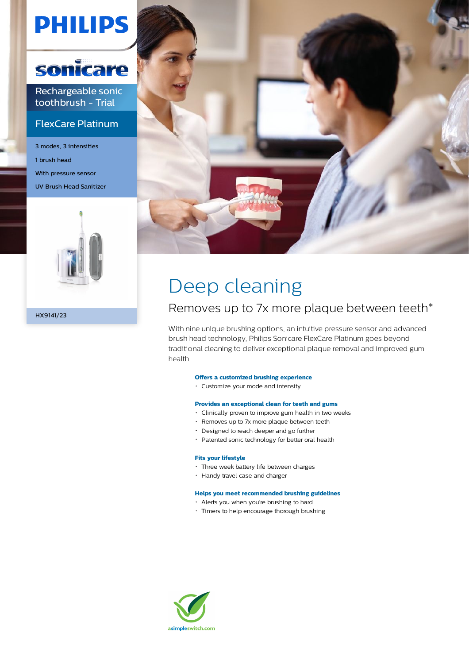# **PHILIPS**



Rechargeable sonic toothbrush - Trial

### FlexCare Platinum

3 modes, 3 intensities 1 brush head With pressure sensor UV Brush Head Sanitizer



HX9141/23



# Deep cleaning

### Removes up to 7x more plaque between teeth\*

With nine unique brushing options, an intuitive pressure sensor and advanced brush head technology, Philips Sonicare FlexCare Platinum goes beyond traditional cleaning to deliver exceptional plaque removal and improved gum health.

#### **Offers a customized brushing experience**

Customize your mode and intensity

#### **Provides an exceptional clean for teeth and gums**

- Clinically proven to improve gum health in two weeks
- Removes up to 7x more plaque between teeth
- Designed to reach deeper and go further
- Patented sonic technology for better oral health

#### **Fits your lifestyle**

- Three week battery life between charges
- Handy travel case and charger

#### **Helps you meet recommended brushing guidelines**

- Alerts you when you're brushing to hard
- Timers to help encourage thorough brushing

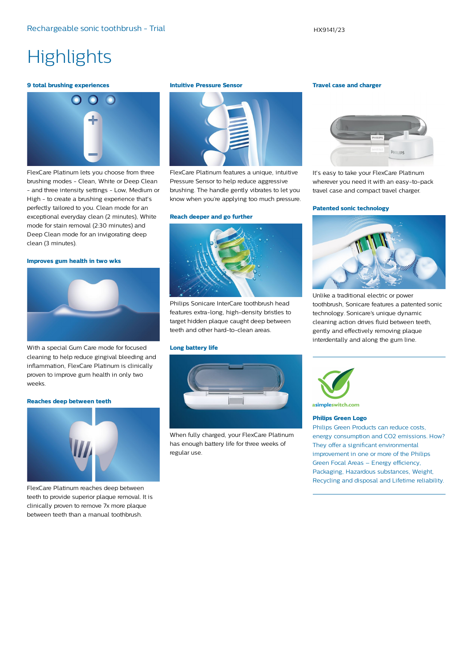## **Highlights**

#### **9 total brushing experiences**



FlexCare Platinum lets you choose from three brushing modes - Clean, White or Deep Clean - and three intensity settings - Low, Medium or High - to create a brushing experience that's perfectly tailored to you. Clean mode for an exceptional everyday clean (2 minutes), White mode for stain removal (2:30 minutes) and Deep Clean mode for an invigorating deep clean (3 minutes).

#### **Improves gum health in two wks**



With a special Gum Care mode for focused cleaning to help reduce gingival bleeding and inflammation, FlexCare Platinum is clinically proven to improve gum health in only two weeks.

#### **Reaches deep between teeth**



FlexCare Platinum reaches deep between teeth to provide superior plaque removal. It is clinically proven to remove 7x more plaque between teeth than a manual toothbrush.

#### **Intuitive Pressure Sensor**



FlexCare Platinum features a unique, intuitive Pressure Sensor to help reduce aggressive brushing. The handle gently vibrates to let you know when you're applying too much pressure.

#### **Reach deeper and go further**



Philips Sonicare InterCare toothbrush head features extra-long, high-density bristles to target hidden plaque caught deep between teeth and other hard-to-clean areas.

#### **Long battery life**



When fully charged, your FlexCare Platinum has enough battery life for three weeks of regular use.

#### **Travel case and charger**



It's easy to take your FlexCare Platinum wherever you need it with an easy-to-pack travel case and compact travel charger.

#### **Patented sonic technology**



Unlike a traditional electric or power toothbrush, Sonicare features a patented sonic technology. Sonicare's unique dynamic cleaning action drives fluid between teeth, gently and effectively removing plaque interdentally and along the gum line.



asimpleswitch.com

#### **Philips Green Logo**

Philips Green Products can reduce costs, energy consumption and CO2 emissions. How? They offer a significant environmental improvement in one or more of the Philips Green Focal Areas – Energy efficiency, Packaging, Hazardous substances, Weight, Recycling and disposal and Lifetime reliability.